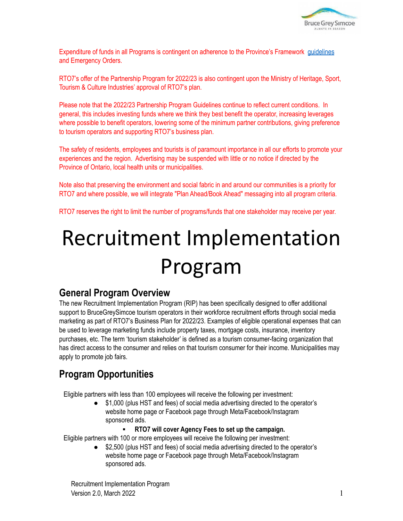

Expenditure of funds in all Programs is contingent on adherence to the Province's Framework [guidelines](https://covid-19.ontario.ca/public-health-measures) and Emergency Orders.

RTO7's offer of the Partnership Program for 2022/23 is also contingent upon the Ministry of Heritage, Sport, Tourism & Culture Industries' approval of RTO7's plan.

Please note that the 2022/23 Partnership Program Guidelines continue to reflect current conditions. In general, this includes investing funds where we think they best benefit the operator, increasing leverages where possible to benefit operators, lowering some of the minimum partner contributions, giving preference to tourism operators and supporting RTO7's business plan.

The safety of residents, employees and tourists is of paramount importance in all our efforts to promote your experiences and the region. Advertising may be suspended with little or no notice if directed by the Province of Ontario, local health units or municipalities.

Note also that preserving the environment and social fabric in and around our communities is a priority for RTO7 and where possible, we will integrate "Plan Ahead/Book Ahead" messaging into all program criteria.

RTO7 reserves the right to limit the number of programs/funds that one stakeholder may receive per year.

# Recruitment Implementation Program

## **General Program Overview**

The new Recruitment Implementation Program (RIP) has been specifically designed to offer additional support to BruceGreySimcoe tourism operators in their workforce recruitment efforts through social media marketing as part of RTO7's Business Plan for 2022/23. Examples of eligible operational expenses that can be used to leverage marketing funds include property taxes, mortgage costs, insurance, inventory purchases, etc. The term 'tourism stakeholder' is defined as a tourism consumer-facing organization that has direct access to the consumer and relies on that tourism consumer for their income. Municipalities may apply to promote job fairs.

# **Program Opportunities**

Eligible partners with less than 100 employees will receive the following per investment:

- \$1,000 (plus HST and fees) of social media advertising directed to the operator's website home page or Facebook page through Meta/Facebook/Instagram sponsored ads.
	- **RTO7 will cover Agency Fees to set up the campaign.**

Eligible partners with 100 or more employees will receive the following per investment:

● \$2,500 (plus HST and fees) of social media advertising directed to the operator's website home page or Facebook page through Meta/Facebook/Instagram sponsored ads.

Recruitment Implementation Program  $V$ ersion 2.0, March 2022 1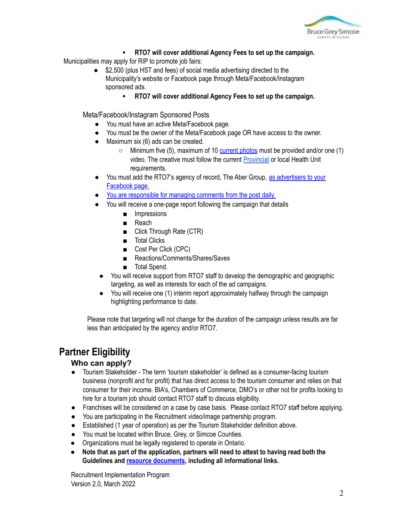

#### ▪ **RTO7 will cover additional Agency Fees to set up the campaign.**

Municipalities may apply for RIP to promote job fairs:

- \$2,500 (plus HST and fees) of social media advertising directed to the Municipality's website or Facebook page through Meta/Facebook/Instagram sponsored ads.
	- **RTO7 will cover additional Agency Fees to set up the campaign.**

Meta/Facebook/Instagram Sponsored Posts

- You must have an active Meta/Facebook page.
- You must be the owner of the Meta/Facebook page OR have access to the owner.
- Maximum six (6) ads can be created.
	- $\circ$  Minimum five (5), maximum of 10 [current](http://cms.rto7.ca/Public/Programs/Resource-Guide#FBInstaBestPractices) photos must be provided and/or one (1) video. The creative must follow the current [Provincial](https://covid-19.ontario.ca/covid-19-help-businesses-ontario) or local Health Unit requirements.
- You must add the RTO7's agency of record, The Aber Group, as [advertisers](https://rto7.ca/Public/Programs/Resource-Guide-en#HowAddtoAdsManagerFB) to your [Facebook](https://rto7.ca/Public/Programs/Resource-Guide-en#HowAddtoAdsManagerFB) page.
- You are [responsible](https://rto7.ca/Public/Programs/Resource-Guide-en#SocialMedia) for managing comments from the post daily.
- You will receive a one-page report following the campaign that details
	- Impressions
	- Reach
	- Click Through Rate (CTR)
	- Total Clicks
	- Cost Per Click (CPC)
	- Reactions/Comments/Shares/Saves
	- Total Spend.
	- You will receive support from RTO7 staff to develop the demographic and geographic targeting, as well as interests for each of the ad campaigns.
	- You will receive one (1) interim report approximately halfway through the campaign highlighting performance to date.

Please note that targeting will not change for the duration of the campaign unless results are far less than anticipated by the agency and/or RTO7.

# **Partner Eligibility**

#### **Who can apply?**

- Tourism Stakeholder The term 'tourism stakeholder' is defined as a consumer-facing tourism business (nonprofit and for profit) that has direct access to the tourism consumer and relies on that consumer for their income. BIA's, Chambers of Commerce, DMO's or other not for profits looking to hire for a tourism job should contact RTO7 staff to discuss eligibility.
- Franchises will be considered on a case by case basis. Please contact RTO7 staff before applying.
- You are participating in the Recruitment video/image partnership program.
- Established (1 year of operation) as per the Tourism Stakeholder definition above.
- You must be located within Bruce, Grey, or Simcoe Counties.
- Organizations must be legally registered to operate in Ontario.
- **● Note that as part of the application, partners will need to attest to having read both the Guidelines and resource [documents](https://rto7.ca/Public/Programs/Resource-Guide-en), including all informational links.**

Recruitment Implementation Program Version 2.0, March 2022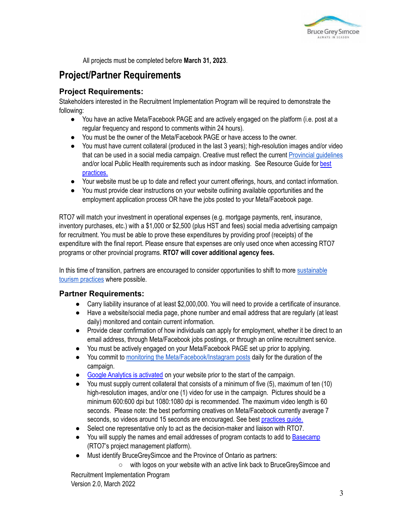

All projects must be completed before **March 31, 2023**.

## **Project/Partner Requirements**

#### **Project Requirements:**

Stakeholders interested in the Recruitment Implementation Program will be required to demonstrate the following:

- You have an active Meta/Facebook PAGE and are actively engaged on the platform (i.e. post at a regular frequency and respond to comments within 24 hours).
- You must be the owner of the Meta/Facebook PAGE or have access to the owner.
- You must have current collateral (produced in the last 3 years); high-resolution images and/or video that can be used in a social media campaign. Creative must reflect the current Provincial [guidelines](https://covid-19.ontario.ca/covid-19-help-businesses-ontario) and/or local Public Health requirements such as indoor masking. See Resource Guide for [best](https://rto7.ca/Public/Programs/Resource-Guide#FacebookandInstagramBestPractices) [practices.](https://rto7.ca/Public/Programs/Resource-Guide#FacebookandInstagramBestPractices)
- Your website must be up to date and reflect your current offerings, hours, and contact information.
- You must provide clear instructions on your website outlining available opportunities and the employment application process OR have the jobs posted to your Meta/Facebook page.

RTO7 will match your investment in operational expenses (e.g. mortgage payments, rent, insurance, inventory purchases, etc.) with a \$1,000 or \$2,500 (plus HST and fees) social media advertising campaign for recruitment. You must be able to prove these expenditures by providing proof (receipts) of the expenditure with the final report. Please ensure that expenses are only used once when accessing RTO7 programs or other provincial programs. **RTO7 will cover additional agency fees.**

In this time of transition, partners are encouraged to consider opportunities to shift to more [sustainable](https://rto7.ca/Public/Resources/Resource-Guide#SustainableTourism) tourism [practices](https://rto7.ca/Public/Resources/Resource-Guide#SustainableTourism) where possible.

#### **Partner Requirements:**

- Carry liability insurance of at least \$2,000,000. You will need to provide a certificate of insurance.
- Have a website/social media page, phone number and email address that are regularly (at least daily) monitored and contain current information.
- Provide clear confirmation of how individuals can apply for employment, whether it be direct to an email address, through Meta/Facebook jobs postings, or through an online recruitment service.
- You must be actively engaged on your Meta/Facebook PAGE set up prior to applying.
- You commit to monitoring the [Meta/Facebook/Instagram](https://rto7.ca/Public/Programs/Resource-Guide-en#SocialMedia) posts daily for the duration of the campaign.
- Google Analytics is [activated](https://rto7.ca/Public/Programs/Resource-Guide-en#GoogleAnalytics) on your website prior to the start of the campaign.
- You must supply current collateral that consists of a minimum of five (5), maximum of ten (10) high-resolution images, and/or one (1) video for use in the campaign. Pictures should be a minimum 600:600 dpi but 1080:1080 dpi is recommended. The maximum video length is 60 seconds. Please note: the best performing creatives on Meta/Facebook currently average 7 seconds, so videos around 15 seconds are encouraged. See best [practices](http://cms.rto7.ca/Public/Programs/Resource-Guide#FBInstaBestPractices) guide.
- Select one representative only to act as the decision-maker and liaison with RTO7.
- You will supply the names and email addresses of program contacts to add to [Basecamp](https://rto7.ca/Public/Programs/Resource-Guide#UsingBasecamp3) (RTO7's project management platform).
- Must identify BruceGreySimcoe and the Province of Ontario as partners:

○ with logos on your website with an active link back to BruceGreySimcoe and Recruitment Implementation Program

Version 2.0, March 2022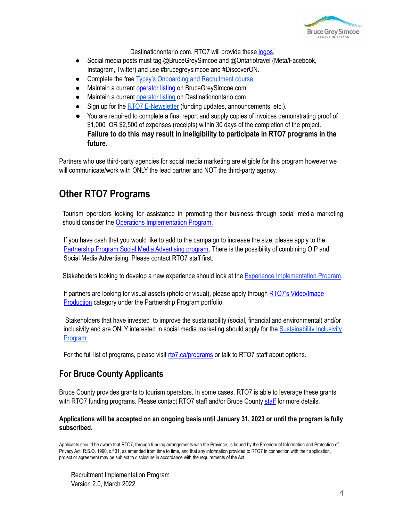

Destinationontario.com. RTO7 will provide these [logos.](https://rto7.ca/Public/Programs/Resource-Guide-en#BGS&OntarioLogos)

- Social media posts must tag @BruceGreySimcoe and @Ontariotravel (Meta/Facebook, Instagram, Twitter) and use #brucegreysimcoe and #DiscoverON.
- Complete the free Typsy's Onboarding and [Recruitment](https://rto7.ca/Public/Programs/BruceGreySimcoe-Free-Training) course.
- Maintain a current [operator](https://brucegreysimcoe.com/bgs-services/OperatorRegistration/Default.aspx) listing on BruceGreySimcoe.com.
- Maintain a current [operator](https://docs.google.com/forms/d/e/1FAIpQLScKFv0w0rI5-M993TGqN_i0MsqrPizHB8I5gNO6WWEKgd6Qng/viewform) listing on Destinationontario.com
- Sign up for the RTO7 [E-Newsletter](http://rto7.ca/Public/Special-Pages/Mailing-List-Signup) (funding updates, announcements, etc.).
- You are required to complete a final report and supply copies of invoices demonstrating proof of \$1,000 OR \$2,500 of expenses (receipts) within 30 days of the completion of the project. **Failure to do this may result in ineligibility to participate in RTO7 programs in the future.**

Partners who use third-party agencies for social media marketing are eligible for this program however we will communicate/work with ONLY the lead partner and NOT the third-party agency.

## **Other RTO7 Programs**

Tourism operators looking for assistance in promoting their business through social media marketing should consider the Operations [Implementation](https://rto7.ca/Public/Programs/Operations-Implementation-Program) Program.

If you have cash that you would like to add to the campaign to increase the size, please apply to the [Partnership](https://rto7.ca/Public/Programs/Partnership-Program) Program Social Media Advertising program. There is the possibility of combining OIP and Social Media Advertising. Please contact RTO7 staff first.

Stakeholders looking to develop a new experience should look at the Experience [Implementation](https://rto7.ca/Public/Programs/Experience-Implementation-Program) Program.

If partners are looking for visual assets (photo or visual), please apply through RTO7's [Video/Image](https://rto7.ca/Public/Programs/Partnership-Program) [Production](https://rto7.ca/Public/Programs/Partnership-Program) category under the Partnership Program portfolio.

Stakeholders that have invested to improve the sustainability (social, financial and environmental) and/or inclusivity and are ONLY interested in social media marketing should apply for the [Sustainability](https://rto7.ca/Public/Programs/Sustainable-Tourism-Implementation-Program) Inclusivity [Program.](https://rto7.ca/Public/Programs/Sustainable-Tourism-Implementation-Program)

For the full list of programs, please visit [rto7.ca/programs](https://rto7.ca/Public/Programs) or talk to RTO7 staff about options.

### **For Bruce County Applicants**

Bruce County provides grants to tourism operators. In some cases, RTO7 is able to leverage these grants with RTO7 funding programs. Please contact RTO7 [staff](mailto:info@sprucethebruce.com?subject=Grants%20for%20Tourism,%20Bruce%20County%20Businesses) and/or Bruce County staff for more details.

#### Applications will be accepted on an ongoing basis until January 31, 2023 or until the program is fully **subscribed.**

Applicants should be aware that RTO7, through funding arrangements with the Province, is bound by the Freedom of Information and Protection of Privacy Act, R.S.O. 1990, c.f 31, as amended from time to time, and that any information provided to RTO7 in connection with their application, project or agreement may be subject to disclosure in accordance with the requirements of the Act.

Recruitment Implementation Program Version 2.0, March 2022